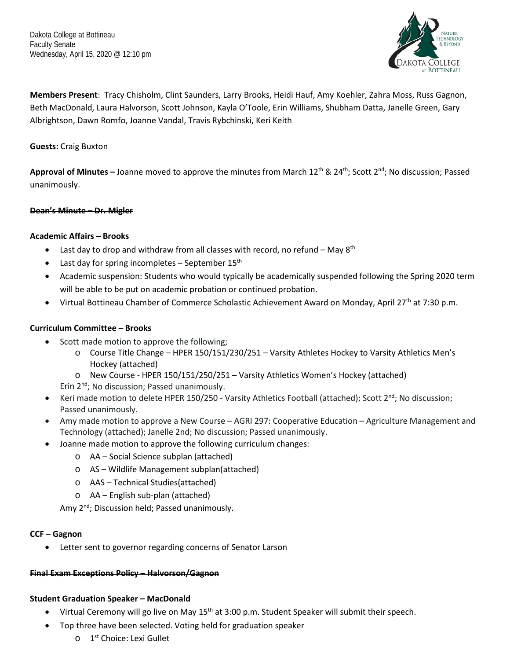Dakota College at Bottineau Faculty Senate Wednesday, April 15, 2020 @ 12:10 pm



**Members Present**: Tracy Chisholm, Clint Saunders, Larry Brooks, Heidi Hauf, Amy Koehler, Zahra Moss, Russ Gagnon, Beth MacDonald, Laura Halvorson, Scott Johnson, Kayla O'Toole, Erin Williams, Shubham Datta, Janelle Green, Gary Albrightson, Dawn Romfo, Joanne Vandal, Travis Rybchinski, Keri Keith

### **Guests:** Craig Buxton

**Approval of Minutes** – Joanne moved to approve the minutes from March 12<sup>th</sup> & 24<sup>th</sup>; Scott 2<sup>nd</sup>; No discussion; Passed unanimously.

### **Dean's Minute – Dr. Migler**

## **Academic Affairs – Brooks**

- Last day to drop and withdraw from all classes with record, no refund May  $8<sup>th</sup>$
- Last day for spring incompletes September  $15<sup>th</sup>$
- Academic suspension: Students who would typically be academically suspended following the Spring 2020 term will be able to be put on academic probation or continued probation.
- Virtual Bottineau Chamber of Commerce Scholastic Achievement Award on Monday, April 27<sup>th</sup> at 7:30 p.m.

# **Curriculum Committee – Brooks**

- Scott made motion to approve the following;
	- o Course Title Change HPER 150/151/230/251 Varsity Athletes Hockey to Varsity Athletics Men's Hockey (attached)
	- o New Course HPER 150/151/250/251 Varsity Athletics Women's Hockey (attached)

Erin 2<sup>nd</sup>; No discussion; Passed unanimously.

- Keri made motion to delete HPER 150/250 Varsity Athletics Football (attached); Scott 2<sup>nd</sup>; No discussion; Passed unanimously.
- Amy made motion to approve a New Course AGRI 297: Cooperative Education Agriculture Management and Technology (attached); Janelle 2nd; No discussion; Passed unanimously.
- Joanne made motion to approve the following curriculum changes:
	- o AA Social Science subplan (attached)
	- o AS Wildlife Management subplan(attached)
	- o AAS Technical Studies(attached)
	- o AA English sub-plan (attached)

Amy 2<sup>nd</sup>; Discussion held; Passed unanimously.

### **CCF – Gagnon**

Letter sent to governor regarding concerns of Senator Larson

### **Final Exam Exceptions Policy – Halvorson/Gagnon**

### **Student Graduation Speaker – MacDonald**

- Virtual Ceremony will go live on May 15<sup>th</sup> at 3:00 p.m. Student Speaker will submit their speech.
- Top three have been selected. Voting held for graduation speaker
	- o 1<sup>st</sup> Choice: Lexi Gullet